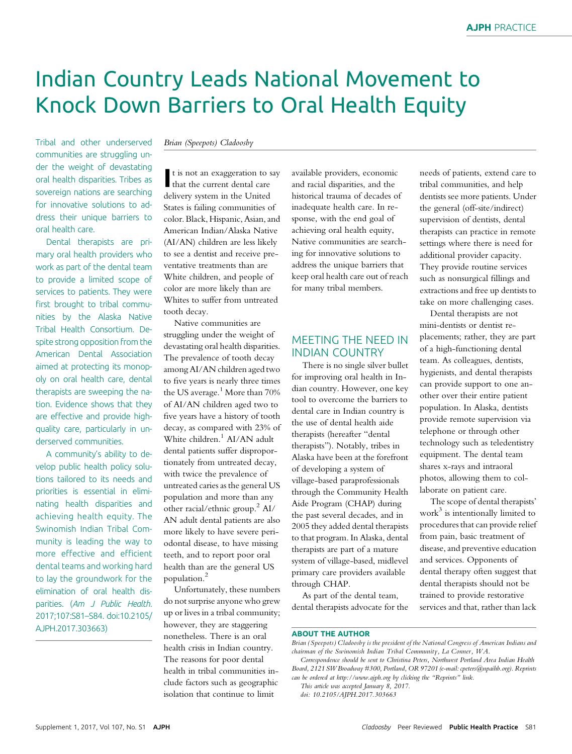# Indian Country Leads National Movement to Knock Down Barriers to Oral Health Equity

Tribal and other underserved communities are struggling under the weight of devastating oral health disparities. Tribes as sovereign nations are searching for innovative solutions to address their unique barriers to oral health care.

Dental therapists are primary oral health providers who work as part of the dental team to provide a limited scope of services to patients. They were first brought to tribal communities by the Alaska Native Tribal Health Consortium. Despite strong opposition from the American Dental Association aimed at protecting its monopoly on oral health care, dental therapists are sweeping the nation. Evidence shows that they are effective and provide highquality care, particularly in underserved communities.

A community's ability to develop public health policy solutions tailored to its needs and priorities is essential in eliminating health disparities and achieving health equity. The Swinomish Indian Tribal Community is leading the way to more effective and efficient dental teams and working hard to lay the groundwork for the elimination of oral health disparities. (Am J Public Health. 2017;107:S81–S84. doi:10.2105/ AJPH.2017.303663)

#### Brian (Speepots) Cladoosby

t is not an exaggeration to<br>that the current dental care t is not an exaggeration to say delivery system in the United States is failing communities of color. Black, Hispanic, Asian, and American Indian/Alaska Native (AI/AN) children are less likely to see a dentist and receive preventative treatments than are White children, and people of color are more likely than are Whites to suffer from untreated tooth decay.

Native communities are struggling under the weight of devastating oral health disparities. The prevalence of tooth decay among AI/AN children aged two to five years is nearly three times the US average.<sup>1</sup> More than 70% of AI/AN children aged two to five years have a history of tooth decay, as compared with 23% of White children.<sup>1</sup> AI/AN adult dental patients suffer disproportionately from untreated decay, with twice the prevalence of untreated caries as the general US population and more than any other racial/ethnic group.<sup>2</sup> AI/ AN adult dental patients are also more likely to have severe periodontal disease, to have missing teeth, and to report poor oral health than are the general US population.<sup>2</sup>

Unfortunately, these numbers do not surprise anyone who grew up or lives in a tribal community; however, they are staggering nonetheless. There is an oral health crisis in Indian country. The reasons for poor dental health in tribal communities include factors such as geographic isolation that continue to limit

available providers, economic and racial disparities, and the historical trauma of decades of inadequate health care. In response, with the end goal of achieving oral health equity, Native communities are searching for innovative solutions to address the unique barriers that keep oral health care out of reach for many tribal members.

## MEETING THE NEED IN INDIAN COUNTRY

There is no single silver bullet for improving oral health in Indian country. However, one key tool to overcome the barriers to dental care in Indian country is the use of dental health aide therapists (hereafter "dental therapists"). Notably, tribes in Alaska have been at the forefront of developing a system of village-based paraprofessionals through the Community Health Aide Program (CHAP) during the past several decades, and in 2005 they added dental therapists to that program. In Alaska, dental therapists are part of a mature system of village-based, midlevel primary care providers available through CHAP.

As part of the dental team, dental therapists advocate for the needs of patients, extend care to tribal communities, and help dentists see more patients. Under the general (off-site/indirect) supervision of dentists, dental therapists can practice in remote settings where there is need for additional provider capacity. They provide routine services such as nonsurgical fillings and extractions and free up dentists to take on more challenging cases.

Dental therapists are not mini-dentists or dentist replacements; rather, they are part of a high-functioning dental team. As colleagues, dentists, hygienists, and dental therapists can provide support to one another over their entire patient population. In Alaska, dentists provide remote supervision via telephone or through other technology such as teledentistry equipment. The dental team shares x-rays and intraoral photos, allowing them to collaborate on patient care.

The scope of dental therapists' work $3$  is intentionally limited to procedures that can provide relief from pain, basic treatment of disease, and preventive education and services. Opponents of dental therapy often suggest that dental therapists should not be trained to provide restorative services and that, rather than lack

#### ABOUT THE AUTHOR

This article was accepted January 8, 2017. doi: 10.2105/AJPH.2017.303663

Brian (Speepots) Cladoosby is the president of the National Congress of American Indians and chairman of the Swinomish Indian Tribal Community, La Conner, WA.

Correspondence should be sent to Christina Peters, Northwest Portland Area Indian Health Board, 2121 SW Broadway #300, Portland, OR 97201 (e-mail: [cpeters@npaihb.org](mailto:cpeters@npaihb.org)). Reprints can be ordered at<http://www.ajph.org> by clicking the "Reprints" link.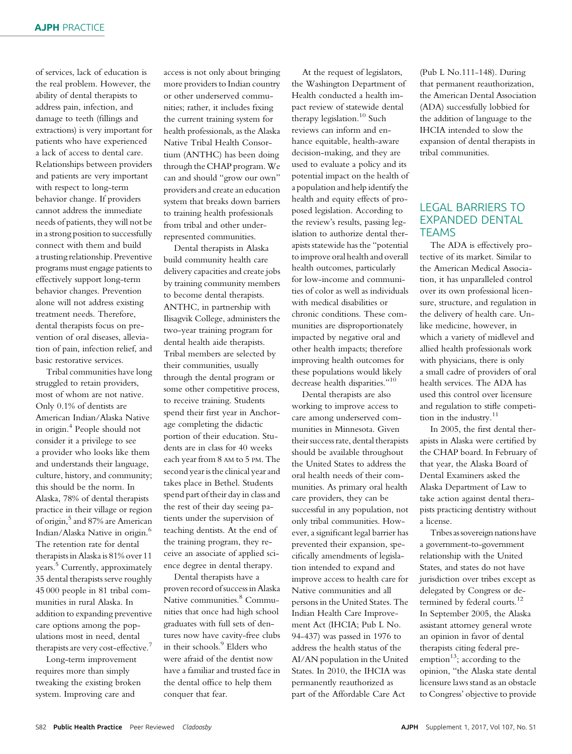of services, lack of education is the real problem. However, the ability of dental therapists to address pain, infection, and damage to teeth (fillings and extractions) is very important for patients who have experienced a lack of access to dental care. Relationships between providers and patients are very important with respect to long-term behavior change. If providers cannot address the immediate needs of patients, they will not be in a strong position to successfully connect with them and build a trusting relationship. Preventive programs must engage patients to effectively support long-term behavior changes. Prevention alone will not address existing treatment needs. Therefore, dental therapists focus on prevention of oral diseases, alleviation of pain, infection relief, and basic restorative services.

Tribal communities have long struggled to retain providers, most of whom are not native. Only 0.1% of dentists are American Indian/Alaska Native in origin.<sup>4</sup> People should not consider it a privilege to see a provider who looks like them and understands their language, culture, history, and community; this should be the norm. In Alaska, 78% of dental therapists practice in their village or region of origin,<sup>5</sup> and 87% are American Indian/Alaska Native in origin.<sup>6</sup> The retention rate for dental therapists in Alaska is 81% over 11 years.<sup>5</sup> Currently, approximately 35 dental therapists serve roughly 45 000 people in 81 tribal communities in rural Alaska. In addition to expanding preventive care options among the populations most in need, dental therapists are very cost-effective.<sup>7</sup>

Long-term improvement requires more than simply tweaking the existing broken system. Improving care and

access is not only about bringing more providers to Indian country or other underserved communities; rather, it includes fixing the current training system for health professionals, as the Alaska Native Tribal Health Consortium (ANTHC) has been doing through the CHAP program.We can and should "grow our own" providers and create an education system that breaks down barriers to training health professionals from tribal and other underrepresented communities.

Dental therapists in Alaska build community health care delivery capacities and create jobs by training community members to become dental therapists. ANTHC, in partnership with Ilisagvik College, administers the two-year training program for dental health aide therapists. Tribal members are selected by their communities, usually through the dental program or some other competitive process, to receive training. Students spend their first year in Anchorage completing the didactic portion of their education. Students are in class for 40 weeks each year from 8 AM to 5 PM. The second year is the clinical year and takes place in Bethel. Students spend part of their day in class and the rest of their day seeing patients under the supervision of teaching dentists. At the end of the training program, they receive an associate of applied science degree in dental therapy.

Dental therapists have a proven record of success in Alaska Native communities.<sup>8</sup> Communities that once had high school graduates with full sets of dentures now have cavity-free clubs in their schools.<sup>9</sup> Elders who were afraid of the dentist now have a familiar and trusted face in the dental office to help them conquer that fear.

At the request of legislators, the Washington Department of Health conducted a health impact review of statewide dental therapy legislation.<sup>10</sup> Such reviews can inform and enhance equitable, health-aware decision-making, and they are used to evaluate a policy and its potential impact on the health of a population and help identify the health and equity effects of proposed legislation. According to the review's results, passing legislation to authorize dental therapists statewide has the "potential to improve oral health and overall health outcomes, particularly for low-income and communities of color as well as individuals with medical disabilities or chronic conditions. These communities are disproportionately impacted by negative oral and other health impacts; therefore improving health outcomes for these populations would likely decrease health disparities."<sup>10</sup>

Dental therapists are also working to improve access to care among underserved communities in Minnesota. Given their success rate, dental therapists should be available throughout the United States to address the oral health needs of their communities. As primary oral health care providers, they can be successful in any population, not only tribal communities. However, a significant legal barrier has prevented their expansion, specifically amendments of legislation intended to expand and improve access to health care for Native communities and all persons in the United States. The Indian Health Care Improvement Act (IHCIA; Pub L No. 94-437) was passed in 1976 to address the health status of the AI/AN population in the United States. In 2010, the IHCIA was permanently reauthorized as part of the Affordable Care Act

(Pub L No.111-148). During that permanent reauthorization, the American Dental Association (ADA) successfully lobbied for the addition of language to the IHCIA intended to slow the expansion of dental therapists in tribal communities.

## LEGAL BARRIERS TO EXPANDED DENTAL **TEAMS**

The ADA is effectively protective of its market. Similar to the American Medical Association, it has unparalleled control over its own professional licensure, structure, and regulation in the delivery of health care. Unlike medicine, however, in which a variety of midlevel and allied health professionals work with physicians, there is only a small cadre of providers of oral health services. The ADA has used this control over licensure and regulation to stifle competition in the industry. $11$ 

In 2005, the first dental therapists in Alaska were certified by the CHAP board. In February of that year, the Alaska Board of Dental Examiners asked the Alaska Department of Law to take action against dental therapists practicing dentistry without a license.

Tribes assovereign nations have a government-to-government relationship with the United States, and states do not have jurisdiction over tribes except as delegated by Congress or determined by federal courts.<sup>12</sup> In September 2005, the Alaska assistant attorney general wrote an opinion in favor of dental therapists citing federal preemption<sup>13</sup>; according to the opinion, "the Alaska state dental licensure laws stand as an obstacle to Congress' objective to provide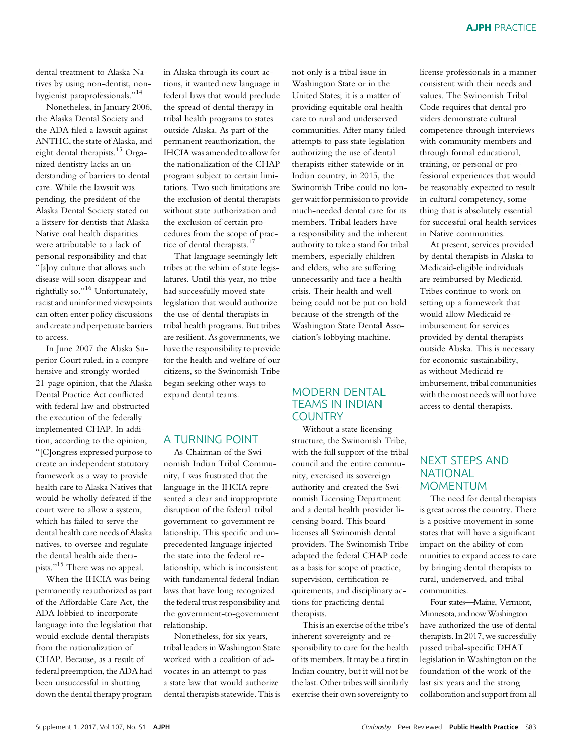dental treatment to Alaska Natives by using non-dentist, nonhygienist paraprofessionals."<sup>14</sup>

Nonetheless, in January 2006, the Alaska Dental Society and the ADA filed a lawsuit against ANTHC, the state of Alaska, and eight dental therapists.<sup>15</sup> Organized dentistry lacks an understanding of barriers to dental care. While the lawsuit was pending, the president of the Alaska Dental Society stated on a listserv for dentists that Alaska Native oral health disparities were attributable to a lack of personal responsibility and that "[a]ny culture that allows such disease will soon disappear and rightfully so."<sup>16</sup> Unfortunately, racist and uninformed viewpoints can often enter policy discussions and create and perpetuate barriers to access.

In June 2007 the Alaska Superior Court ruled, in a comprehensive and strongly worded 21-page opinion, that the Alaska Dental Practice Act conflicted with federal law and obstructed the execution of the federally implemented CHAP. In addition, according to the opinion, "[C]ongress expressed purpose to create an independent statutory framework as a way to provide health care to Alaska Natives that would be wholly defeated if the court were to allow a system, which has failed to serve the dental health care needs of Alaska natives, to oversee and regulate the dental health aide therapists."<sup>15</sup> There was no appeal.

When the IHCIA was being permanently reauthorized as part of the Affordable Care Act, the ADA lobbied to incorporate language into the legislation that would exclude dental therapists from the nationalization of CHAP. Because, as a result of federal preemption, the ADA had been unsuccessful in shutting down the dental therapy program

in Alaska through its court actions, it wanted new language in federal laws that would preclude the spread of dental therapy in tribal health programs to states outside Alaska. As part of the permanent reauthorization, the IHCIA was amended to allow for the nationalization of the CHAP program subject to certain limitations. Two such limitations are the exclusion of dental therapists without state authorization and the exclusion of certain procedures from the scope of practice of dental therapists.<sup>17</sup>

That language seemingly left tribes at the whim of state legislatures. Until this year, no tribe had successfully moved state legislation that would authorize the use of dental therapists in tribal health programs. But tribes are resilient. As governments, we have the responsibility to provide for the health and welfare of our citizens, so the Swinomish Tribe began seeking other ways to expand dental teams.

## A TURNING POINT

As Chairman of the Swinomish Indian Tribal Community, I was frustrated that the language in the IHCIA represented a clear and inappropriate disruption of the federal–tribal government-to-government relationship. This specific and unprecedented language injected the state into the federal relationship, which is inconsistent with fundamental federal Indian laws that have long recognized the federal trust responsibility and the government-to-government relationship.

Nonetheless, for six years, tribal leaders in Washington State worked with a coalition of advocates in an attempt to pass a state law that would authorize dental therapists statewide. This is

not only is a tribal issue in Washington State or in the United States; it is a matter of providing equitable oral health care to rural and underserved communities. After many failed attempts to pass state legislation authorizing the use of dental therapists either statewide or in Indian country, in 2015, the Swinomish Tribe could no longer wait for permission to provide much-needed dental care for its members. Tribal leaders have a responsibility and the inherent authority to take a stand for tribal members, especially children and elders, who are suffering unnecessarily and face a health crisis. Their health and wellbeing could not be put on hold because of the strength of the Washington State Dental Association's lobbying machine.

### MODERN DENTAL TEAMS IN INDIAN **COUNTRY**

Without a state licensing structure, the Swinomish Tribe, with the full support of the tribal council and the entire community, exercised its sovereign authority and created the Swinomish Licensing Department and a dental health provider licensing board. This board licenses all Swinomish dental providers. The Swinomish Tribe adapted the federal CHAP code as a basis for scope of practice, supervision, certification requirements, and disciplinary actions for practicing dental therapists.

This is an exercise of the tribe's inherent sovereignty and responsibility to care for the health of its members. It may be a first in Indian country, but it will not be the last. Other tribes will similarly exercise their own sovereignty to

license professionals in a manner consistent with their needs and values. The Swinomish Tribal Code requires that dental providers demonstrate cultural competence through interviews with community members and through formal educational, training, or personal or professional experiences that would be reasonably expected to result in cultural competency, something that is absolutely essential for successful oral health services in Native communities.

At present, services provided by dental therapists in Alaska to Medicaid-eligible individuals are reimbursed by Medicaid. Tribes continue to work on setting up a framework that would allow Medicaid reimbursement for services provided by dental therapists outside Alaska. This is necessary for economic sustainability, as without Medicaid reimbursement, tribal communities with the most needs will not have access to dental therapists.

## NEXT STEPS AND **NATIONAL** MOMENTUM

The need for dental therapists is great across the country. There is a positive movement in some states that will have a significant impact on the ability of communities to expand access to care by bringing dental therapists to rural, underserved, and tribal communities.

Four states—Maine, Vermont, Minnesota, and nowWashington have authorized the use of dental therapists. In 2017, we successfully passed tribal-specific DHAT legislation in Washington on the foundation of the work of the last six years and the strong collaboration and support from all